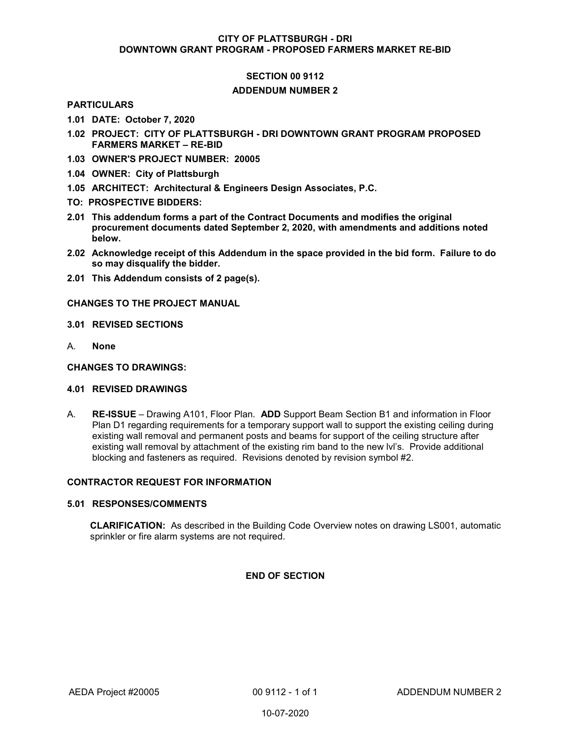## CITY OF PLATTSBURGH - DRI DOWNTOWN GRANT PROGRAM - PROPOSED FARMERS MARKET RE-BID

# SECTION 00 9112

## ADDENDUM NUMBER 2

## PARTICULARS

- 1.01 DATE: October 7, 2020
- 1.02 PROJECT: CITY OF PLATTSBURGH DRI DOWNTOWN GRANT PROGRAM PROPOSED FARMERS MARKET – RE-BID
- 1.03 OWNER'S PROJECT NUMBER: 20005
- 1.04 OWNER: City of Plattsburgh
- 1.05 ARCHITECT: Architectural & Engineers Design Associates, P.C.
- TO: PROSPECTIVE BIDDERS:
- 2.01 This addendum forms a part of the Contract Documents and modifies the original procurement documents dated September 2, 2020, with amendments and additions noted below.
- 2.02 Acknowledge receipt of this Addendum in the space provided in the bid form. Failure to do so may disqualify the bidder.
- 2.01 This Addendum consists of 2 page(s).

## CHANGES TO THE PROJECT MANUAL

- 3.01 REVISED SECTIONS
- A. None

#### CHANGES TO DRAWINGS:

#### 4.01 REVISED DRAWINGS

A. RE-ISSUE – Drawing A101, Floor Plan. ADD Support Beam Section B1 and information in Floor Plan D1 regarding requirements for a temporary support wall to support the existing ceiling during existing wall removal and permanent posts and beams for support of the ceiling structure after existing wall removal by attachment of the existing rim band to the new lvl's. Provide additional blocking and fasteners as required. Revisions denoted by revision symbol #2.

# CONTRACTOR REQUEST FOR INFORMATION

## 5.01 RESPONSES/COMMENTS

CLARIFICATION: As described in the Building Code Overview notes on drawing LS001, automatic sprinkler or fire alarm systems are not required.

# END OF SECTION